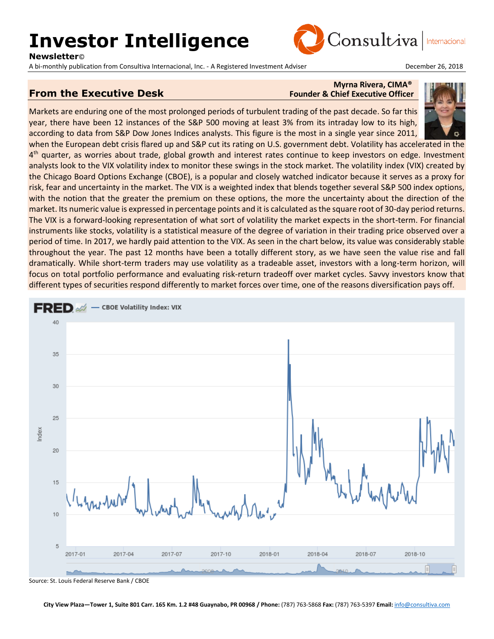# **Investor Intelligence**

**Newsletter**©

A bi-monthly publication from Consultiva Internacional, Inc. - A Registered Investment Adviser **December 26, 2018** 



Internacional

### **From the Executive Desk**

## **Myrna Rivera, CIMA®**<br>Founder & Chief Executive Officer

Consultiva

Markets are enduring one of the most prolonged periods of turbulent trading of the past decade. So far this year, there have been 12 instances of the S&P 500 moving at least 3% from its intraday low to its high, according to data from S&P Dow Jones Indices analysts. This figure is the most in a single year since 2011,

when the European debt crisis flared up and S&P cut its rating on U.S. government debt. Volatility has accelerated in the 4<sup>th</sup> quarter, as worries about trade, global growth and interest rates continue to keep investors on edge. Investment analysts look to the VIX volatility index to monitor these swings in the stock market. The volatility index (VIX) created by the Chicago Board Options Exchange (CBOE), is a popular and closely watched indicator because it serves as a proxy for risk, fear and uncertainty in the market. The VIX is a weighted index that blends together several S&P 500 index options, with the notion that the greater the premium on these options, the more the uncertainty about the direction of the market. Its numeric value is expressed in percentage points and it is calculated as the square root of 30-day period returns. The VIX is a forward-looking representation of what sort of volatility the market expects in the short-term. For financial instruments like stocks, volatility is a statistical measure of the degree of variation in their trading price observed over a period of time. In 2017, we hardly paid attention to the VIX. As seen in the chart below, its value was considerably stable throughout the year. The past 12 months have been a totally different story, as we have seen the value rise and fall dramatically. While short-term traders may use volatility as a tradeable asset, investors with a long-term horizon, will focus on total portfolio performance and evaluating risk-return tradeoff over market cycles. Savvy investors know that different types of securities respond differently to market forces over time, one of the reasons diversification pays off.



Source: St. Louis Federal Reserve Bank / CBOE

**City View Plaza—Tower 1, Suite 801 Carr. 165 Km. 1.2 #48 Guaynabo, PR 00968 / Phone:** (787) 763-5868 **Fax:** (787) 763-5397 **Email:** [info@consultiva.com](mailto:%20info@consultiva.com)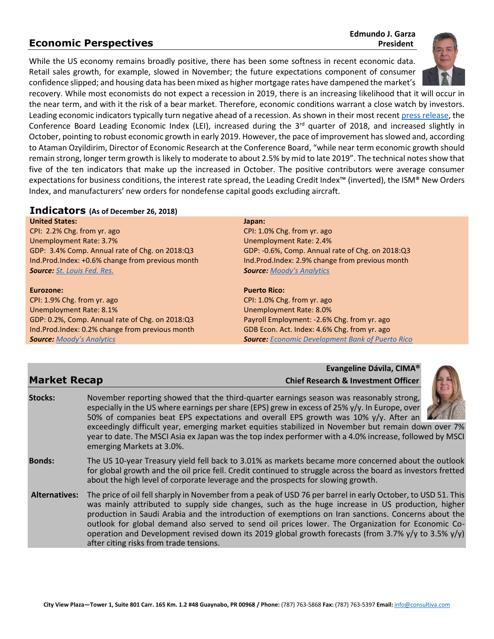### **Economic Perspectives** *President*

## **Edmundo J. Garza**

While the US economy remains broadly positive, there has been some softness in recent economic data. Retail sales growth, for example, slowed in November; the future expectations component of consumer confidence slipped; and housing data has been mixed as higher mortgage rates have dampened the market's

recovery. While most economists do not expect a recession in 2019, there is an increasing likelihood that it will occur in the near term, and with it the risk of a bear market. Therefore, economic conditions warrant a close watch by investors. Leading economic indicators typically turn negative ahead of a recession. As shown in their most recen[t press release,](https://www.conference-board.org/pdf_free/press/US%20LEI%20-%20Press%20Release%20NOVEMBER%202018.pdf) the Conference Board Leading Economic Index (LEI), increased during the  $3<sup>rd</sup>$  quarter of 2018, and increased slightly in October, pointing to robust economic growth in early 2019. However, the pace of improvement has slowed and, according to Ataman Ozyildirim, Director of Economic Research at the Conference Board, "while near term economic growth should remain strong, longer term growth is likely to moderate to about 2.5% by mid to late 2019". The technical notes show that five of the ten indicators that make up the increased in October. The positive contributors were average consumer expectations for business conditions, the interest rate spread, the Leading Credit Index™ (inverted), the ISM® New Orders Index, and manufacturers' new orders for nondefense capital goods excluding aircraft.

#### **Indicators (As of December 26, 2018)**

**United States:** CPI: 2.2% Chg. from yr. ago Unemployment Rate: 3.7% GDP: 3.4% Comp. Annual rate of Chg. on 2018:Q3 Ind.Prod.Index: +0.6% change from previous month *Source: [St. Louis Fed. Res.](http://research.stlouisfed.org/)*

#### **Eurozone:**

CPI: 1.9% Chg. from yr. ago Unemployment Rate: 8.1% GDP: 0.2%, Comp. Annual rate of Chg. on 2018:Q3 Ind.Prod.Index: 0.2% change from previous month *Source: [Moody's Analytics](https://www.economy.com/dismal/)*

#### **Japan:**

CPI: 1.0% Chg. from yr. ago Unemployment Rate: 2.4% GDP: -0.6%, Comp. Annual rate of Chg. on 2018:Q3 Ind.Prod.Index: 2.9% change from previous month *Source: [Moody's Analytics](https://www.economy.com/dismal/)*

#### **Puerto Rico:**

CPI: 1.0% Chg. from yr. ago Unemployment Rate: 8.0% Payroll Employment: -2.6% Chg. from yr. ago GDB Econ. Act. Index: 4.6% Chg. from yr. ago *Source: [Economic Development Bank of Puerto Rico](https://www.bde.pr.gov/BDESite/index.html)*

**Evangeline Dávila, CIMA® Market Recap Chief Research & Investment Officer**



#### **Bonds:** The US 10-year Treasury yield fell back to 3.01% as markets became more concerned about the outlook for global growth and the oil price fell. Credit continued to struggle across the board as investors fretted about the high level of corporate leverage and the prospects for slowing growth.

**Alternatives:** The price of oil fell sharply in November from a peak of USD 76 per barrel in early October, to USD 51. This was mainly attributed to supply side changes, such as the huge increase in US production, higher production in Saudi Arabia and the introduction of exemptions on Iran sanctions. Concerns about the outlook for global demand also served to send oil prices lower. The Organization for Economic Cooperation and Development revised down its 2019 global growth forecasts (from 3.7%  $y/y$  to 3.5%  $y/y$ ) after citing risks from trade tensions.